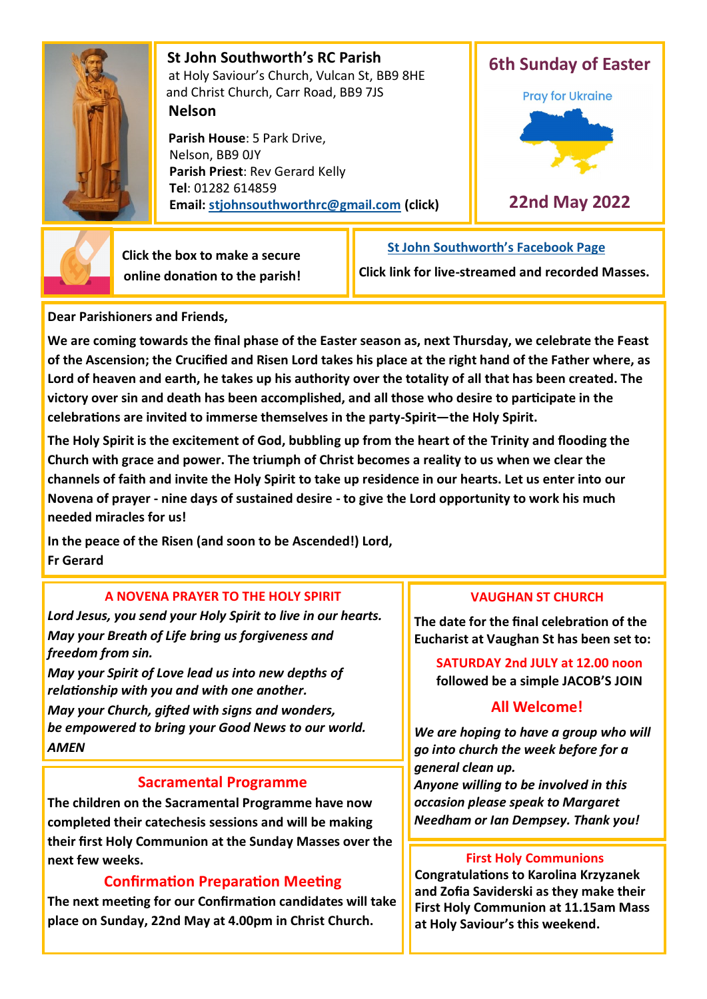

 **St John Southworth's RC Parish** at Holy Saviour's Church, Vulcan St, BB9 8HE and Christ Church, Carr Road, BB9 7JS **Nelson**

 **Parish House**: 5 Park Drive, Nelson, BB9 0JY **Parish Priest**: Rev Gerard Kelly **Tel**: 01282 614859 **Email: [stjohnsouthworthrc@gmail.com](mailto:stjohnsouthworth@gmail.com) (click)**





 **Click the box to make a secure online donation to the parish!**

# **[St John Southworth](https://www.facebook.com/Parish-of-St-John-Southworth-in-Nelson-105718084323986)'s Facebook Page**

**Click link for live-streamed and recorded Masses.**

**Dear Parishioners and Friends,**

**We are coming towards the final phase of the Easter season as, next Thursday, we celebrate the Feast of the Ascension; the Crucified and Risen Lord takes his place at the right hand of the Father where, as Lord of heaven and earth, he takes up his authority over the totality of all that has been created. The victory over sin and death has been accomplished, and all those who desire to participate in the celebrations are invited to immerse themselves in the party-Spirit—the Holy Spirit.** 

**The Holy Spirit is the excitement of God, bubbling up from the heart of the Trinity and flooding the Church with grace and power. The triumph of Christ becomes a reality to us when we clear the channels of faith and invite the Holy Spirit to take up residence in our hearts. Let us enter into our Novena of prayer - nine days of sustained desire - to give the Lord opportunity to work his much needed miracles for us!**

**In the peace of the Risen (and soon to be Ascended!) Lord, Fr Gerard**

## **A NOVENA PRAYER TO THE HOLY SPIRIT**

*Lord Jesus, you send your Holy Spirit to live in our hearts. May your Breath of Life bring us forgiveness and freedom from sin.* 

*May your Spirit of Love lead us into new depths of relationship with you and with one another. May your Church, gifted with signs and wonders, be empowered to bring your Good News to our world. AMEN*

## **Sacramental Programme**

**The children on the Sacramental Programme have now completed their catechesis sessions and will be making their first Holy Communion at the Sunday Masses over the next few weeks.** 

## **Confirmation Preparation Meeting**

**The next meeting for our Confirmation candidates will take place on Sunday, 22nd May at 4.00pm in Christ Church.**

## **VAUGHAN ST CHURCH**

**The date for the final celebration of the Eucharist at Vaughan St has been set to:**

 **SATURDAY 2nd JULY at 12.00 noon followed be a simple JACOB'S JOIN**

# **All Welcome!**

*We are hoping to have a group who will go into church the week before for a general clean up. Anyone willing to be involved in this occasion please speak to Margaret Needham or Ian Dempsey. Thank you!*

## **First Holy Communions**

**Congratulations to Karolina Krzyzanek and Zofia Saviderski as they make their First Holy Communion at 11.15am Mass at Holy Saviour's this weekend.**